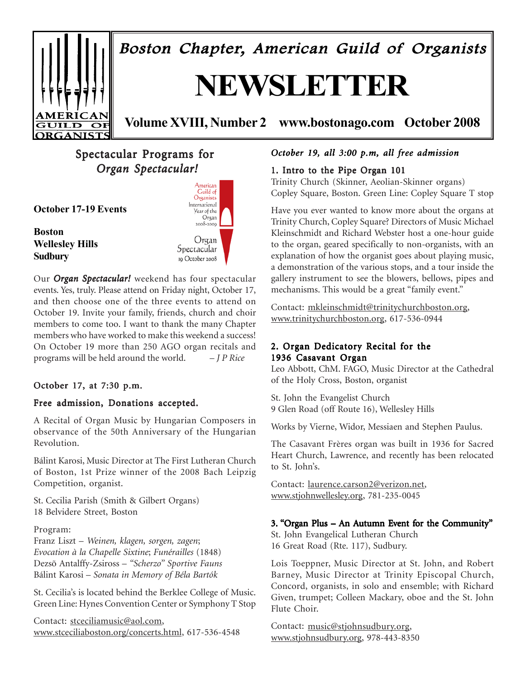

Boston Chapter, American Guild of Organists

# **NEWSLETTER**

**Volume XVIII, Number 2 www.bostonago.com October 2008**

# Spectacular Programs for  *Organ Spectacular! Organ Spectacular!*

**October 17-19 Events**

**Boston Wellesley Hills Sudbury**



Our *Organ Spectacular!* weekend has four spectacular events. Yes, truly. Please attend on Friday night, October 17, and then choose one of the three events to attend on October 19. Invite your family, friends, church and choir members to come too. I want to thank the many Chapter members who have worked to make this weekend a success! On October 19 more than 250 AGO organ recitals and programs will be held around the world. – *J P Rice*

### October 17, at  $7:30$  p.m.

### Free admission, Donations accepted.

A Recital of Organ Music by Hungarian Composers in observance of the 50th Anniversary of the Hungarian Revolution.

Bálint Karosi, Music Director at The First Lutheran Church of Boston, 1st Prize winner of the 2008 Bach Leipzig Competition, organist.

St. Cecilia Parish (Smith & Gilbert Organs) 18 Belvidere Street, Boston

Program:

Franz Liszt – *Weinen, klagen, sorgen, zagen*; *Evocation à la Chapelle Sixtine*; *Funérailles* (1848) Dezsõ Antalffy-Zsiross – *"Scherzo" Sportive Fauns* Bálint Karosi – *Sonata in Memory of Béla Bartók*

St. Cecilia's is located behind the Berklee College of Music. Green Line: Hynes Convention Center or Symphony T Stop

Contact: stceciliamusic@aol.com, www.stceciliaboston.org/concerts.html, 617-536-4548

### *October 19, all 3:00 p.m, all free admission*

### 1. Intro to the Pipe Organ 101

Trinity Church (Skinner, Aeolian-Skinner organs) Copley Square, Boston. Green Line: Copley Square T stop

Have you ever wanted to know more about the organs at Trinity Church, Copley Square? Directors of Music Michael Kleinschmidt and Richard Webster host a one-hour guide to the organ, geared specifically to non-organists, with an explanation of how the organist goes about playing music, a demonstration of the various stops, and a tour inside the gallery instrument to see the blowers, bellows, pipes and mechanisms. This would be a great "family event."

Contact: mkleinschmidt@trinitychurchboston.org, www.trinitychurchboston.org, 617-536-0944

### 2. Organ Dedicatory Recital for the 1936 Casavant Organ

Leo Abbott, ChM. FAGO, Music Director at the Cathedral of the Holy Cross, Boston, organist

St. John the Evangelist Church 9 Glen Road (off Route 16), Wellesley Hills

Works by Vierne, Widor, Messiaen and Stephen Paulus.

The Casavant Frères organ was built in 1936 for Sacred Heart Church, Lawrence, and recently has been relocated to St. John's.

Contact: laurence.carson2@verizon.net, www.stjohnwellesley.org, 781-235-0045

### 3. "Organ Plus – An Autumn Event for the Community"

St. John Evangelical Lutheran Church 16 Great Road (Rte. 117), Sudbury.

Lois Toeppner, Music Director at St. John, and Robert Barney, Music Director at Trinity Episcopal Church, Concord, organists, in solo and ensemble; with Richard Given, trumpet; Colleen Mackary, oboe and the St. John Flute Choir.

Contact: music@stjohnsudbury.org, www.stjohnsudbury.org, 978-443-8350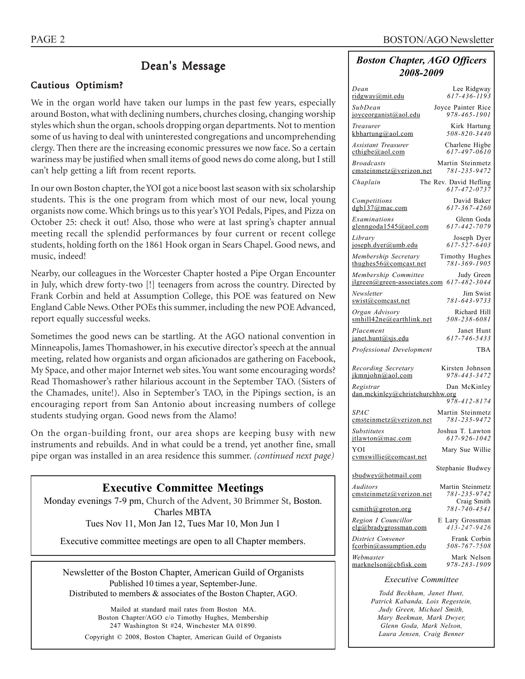### Dean's Message

### Cautious Optimism?

We in the organ world have taken our lumps in the past few years, especially around Boston, what with declining numbers, churches closing, changing worship styles which shun the organ, schools dropping organ departments. Not to mention some of us having to deal with uninterested congregations and uncomprehending clergy. Then there are the increasing economic pressures we now face. So a certain wariness may be justified when small items of good news do come along, but I still can't help getting a lift from recent reports.

In our own Boston chapter, the YOI got a nice boost last season with six scholarship students. This is the one program from which most of our new, local young organists now come. Which brings us to this year's YOI Pedals, Pipes, and Pizza on October 25: check it out! Also, those who were at last spring's chapter annual meeting recall the splendid performances by four current or recent college students, holding forth on the 1861 Hook organ in Sears Chapel. Good news, and music, indeed!

Nearby, our colleagues in the Worcester Chapter hosted a Pipe Organ Encounter in July, which drew forty-two [!] teenagers from across the country. Directed by Frank Corbin and held at Assumption College, this POE was featured on New England Cable News. Other POEs this summer, including the new POE Advanced, report equally successful weeks.

Sometimes the good news can be startling. At the AGO national convention in Minneapolis, James Thomashower, in his executive director's speech at the annual meeting, related how organists and organ aficionados are gathering on Facebook, My Space, and other major Internet web sites. You want some encouraging words? Read Thomashower's rather hilarious account in the September TAO. (Sisters of the Chamades, unite!). Also in September's TAO, in the Pipings section, is an encouraging report from San Antonio about increasing numbers of college students studying organ. Good news from the Alamo!

On the organ-building front, our area shops are keeping busy with new instruments and rebuilds. And in what could be a trend, yet another fine, small pipe organ was installed in an area residence this summer. *(continued next page)*

# **Executive Committee Meetings** Monday evenings 7-9 pm, Church of the Advent, 30 Brimmer St, Boston. Charles MBTA

Tues Nov 11, Mon Jan 12, Tues Mar 10, Mon Jun 1

Executive committee meetings are open to all Chapter members.

Newsletter of the Boston Chapter, American Guild of Organists Published 10 times a year, September-June. Distributed to members & associates of the Boston Chapter, AGO.

Mailed at standard mail rates from Boston MA. Boston Chapter/AGO c/o Timothy Hughes, Membership 247 Washington St #24, Winchester MA 01890. Copyright © 2008, Boston Chapter, American Guild of Organists

### *Boston Chapter, AGO Officers 2008-2009*

| Dean                             | Lee Ridgway                            |  |  |  |
|----------------------------------|----------------------------------------|--|--|--|
| ridgway@mit.edu                  | $617 - 436 - 1193$                     |  |  |  |
| SubDean<br>joyceorganist@aol.edu | Joyce Painter Rice<br>978-465-1901     |  |  |  |
| Treasurer                        | Kirk Hartung                           |  |  |  |
| kbhartung@aol.com                | 508-820-3440                           |  |  |  |
| <b>Assistant Treasurer</b>       | Charlene Higbe                         |  |  |  |
| $\text{cthigbe}(a)$ aol.com      | $617 - 497 - 0610$                     |  |  |  |
| <b>Broadcasts</b>                | Martin Steinmetz                       |  |  |  |
| cmsteinmetz@verizon.net          | 781-235-9472                           |  |  |  |
| Chaplain                         | The Rev. David Hefling<br>617-472-0737 |  |  |  |
| Competitions                     | David Baker                            |  |  |  |
| dgb137@mac.com                   | 617-367-4260                           |  |  |  |
| Examinations                     | Glenn Goda                             |  |  |  |
| glenngoda1545@aol.com            | 617-442-7079                           |  |  |  |
| Library                          | Joseph Dyer                            |  |  |  |
| joseph.dyer@umb.edu              | 617-527-6403                           |  |  |  |
| Membership Secretary             | Timothy Hughes                         |  |  |  |
| thughes56@comcast.net            | 781-369-1905                           |  |  |  |
| Membership Committee             | Judy Green                             |  |  |  |
| jlgreen@green-associates.com     | 617-482-3044                           |  |  |  |
| Newsletter                       | Jim Swist                              |  |  |  |
| swist@comcast.net                | 781-643-9733                           |  |  |  |
| Organ Advisory                   | Richard Hill                           |  |  |  |
| smhill42ne@earthlink.net         | 508-238-6081                           |  |  |  |
| Placement                        | Janet Hunt                             |  |  |  |
| janet.hunt@sjs.edu               | 617-746-5433                           |  |  |  |
| Professional Development         | <b>TBA</b>                             |  |  |  |
| Recording Secretary              | Kirsten Johnson                        |  |  |  |
| ikmniohn@aol.com                 | 978-443-3472                           |  |  |  |
| Registrar                        | Dan McKinley                           |  |  |  |
| dan.mckinley@christchurchhw.org  | 978-412-8174                           |  |  |  |
| SPAC                             | Martin Steinmetz                       |  |  |  |
| cmsteinmetz@verizon.net          | 781-235-9472                           |  |  |  |
| <b>Substitutes</b>               | Joshua T. Lawton                       |  |  |  |
| itlawton@mac.com                 | 617-926-1042                           |  |  |  |
| YOI<br>cymswillie@comcast.net    | Mary Sue Willie                        |  |  |  |
| sbudwey@hotmail.com              | Stephanie Budwey                       |  |  |  |
| Auditors                         | Martin Steinmetz                       |  |  |  |
| emsteinmetz@verizon.net          | 781-235-9742                           |  |  |  |
| $csmith(\omega)$ groton.org      | Craig Smith<br>781-740-4541            |  |  |  |
| Region I Councillor              | E Lary Grossman                        |  |  |  |
| elg@bradygrossman.com            | $413 - 247 - 9426$                     |  |  |  |
| District Convener                | Frank Corbin                           |  |  |  |
| fcorbin@assumption.edu           | 508-767-7508                           |  |  |  |
| Webmaster                        | Mark Nelson                            |  |  |  |
| marknelson@cbfisk.com            | 978-283-1909                           |  |  |  |
| <b>Executive Committee</b>       |                                        |  |  |  |

*Todd Beckham, Janet Hunt, Patrick Kabanda, Lois Regestein, Judy Green, Michael Smith, Mary Beekman, Mark Dwyer, Glenn Goda, Mark Nelson, Laura Jensen, Craig Benner*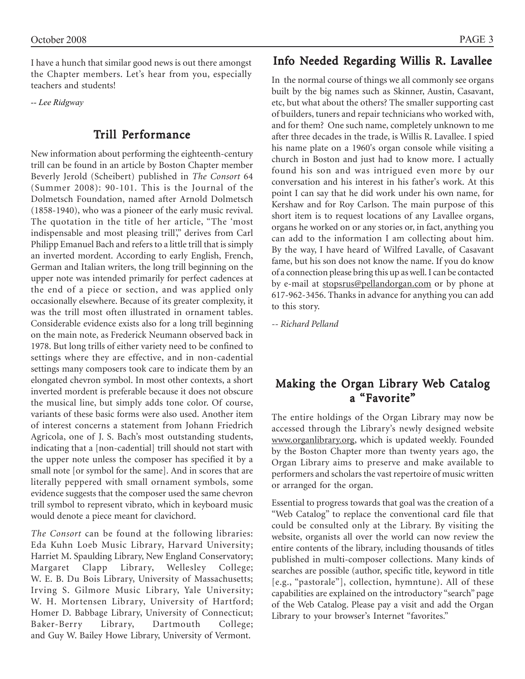I have a hunch that similar good news is out there amongst the Chapter members. Let's hear from you, especially teachers and students!

*-- Lee Ridgway*

### Trill Performance

New information about performing the eighteenth-century trill can be found in an article by Boston Chapter member Beverly Jerold (Scheibert) published in *The Consort* 64 (Summer 2008): 90-101. This is the Journal of the Dolmetsch Foundation, named after Arnold Dolmetsch (1858-1940), who was a pioneer of the early music revival. The quotation in the title of her article, "The 'most indispensable and most pleasing trill'," derives from Carl Philipp Emanuel Bach and refers to a little trill that is simply an inverted mordent. According to early English, French, German and Italian writers, the long trill beginning on the upper note was intended primarily for perfect cadences at the end of a piece or section, and was applied only occasionally elsewhere. Because of its greater complexity, it was the trill most often illustrated in ornament tables. Considerable evidence exists also for a long trill beginning on the main note, as Frederick Neumann observed back in 1978. But long trills of either variety need to be confined to settings where they are effective, and in non-cadential settings many composers took care to indicate them by an elongated chevron symbol. In most other contexts, a short inverted mordent is preferable because it does not obscure the musical line, but simply adds tone color. Of course, variants of these basic forms were also used. Another item of interest concerns a statement from Johann Friedrich Agricola, one of J. S. Bach's most outstanding students, indicating that a [non-cadential] trill should not start with the upper note unless the composer has specified it by a small note [or symbol for the same]. And in scores that are literally peppered with small ornament symbols, some evidence suggests that the composer used the same chevron trill symbol to represent vibrato, which in keyboard music would denote a piece meant for clavichord.

*The Consort* can be found at the following libraries: Eda Kuhn Loeb Music Library, Harvard University; Harriet M. Spaulding Library, New England Conservatory; Margaret Clapp Library, Wellesley College; W. E. B. Du Bois Library, University of Massachusetts; Irving S. Gilmore Music Library, Yale University; W. H. Mortensen Library, University of Hartford; Homer D. Babbage Library, University of Connecticut; Baker-Berry Library, Dartmouth College; and Guy W. Bailey Howe Library, University of Vermont.

### Info Needed Regarding Willis R. Lavallee

In the normal course of things we all commonly see organs built by the big names such as Skinner, Austin, Casavant, etc, but what about the others? The smaller supporting cast of builders, tuners and repair technicians who worked with, and for them? One such name, completely unknown to me after three decades in the trade, is Willis R. Lavallee. I spied his name plate on a 1960's organ console while visiting a church in Boston and just had to know more. I actually found his son and was intrigued even more by our conversation and his interest in his father's work. At this point I can say that he did work under his own name, for Kershaw and for Roy Carlson. The main purpose of this short item is to request locations of any Lavallee organs, organs he worked on or any stories or, in fact, anything you can add to the information I am collecting about him. By the way, I have heard of Wilfred Lavalle, of Casavant fame, but his son does not know the name. If you do know of a connection please bring this up as well. I can be contacted by e-mail at stopsrus@pellandorgan.com or by phone at 617-962-3456. Thanks in advance for anything you can add to this story.

*-- Richard Pelland*

### Making the Organ Library Web Catalog a "Favorite"

The entire holdings of the Organ Library may now be accessed through the Library's newly designed website www.organlibrary.org, which is updated weekly. Founded by the Boston Chapter more than twenty years ago, the Organ Library aims to preserve and make available to performers and scholars the vast repertoire of music written or arranged for the organ.

Essential to progress towards that goal was the creation of a "Web Catalog" to replace the conventional card file that could be consulted only at the Library. By visiting the website, organists all over the world can now review the entire contents of the library, including thousands of titles published in multi-composer collections. Many kinds of searches are possible (author, specific title, keyword in title [e.g., "pastorale"], collection, hymntune). All of these capabilities are explained on the introductory "search" page of the Web Catalog. Please pay a visit and add the Organ Library to your browser's Internet "favorites."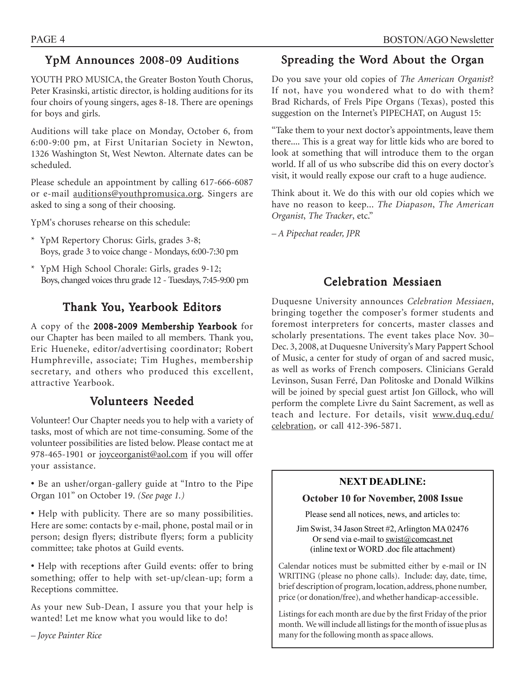# YpM Announces 2008-09 Auditions

YOUTH PRO MUSICA, the Greater Boston Youth Chorus, Peter Krasinski, artistic director, is holding auditions for its four choirs of young singers, ages 8-18. There are openings for boys and girls.

Auditions will take place on Monday, October 6, from 6:00-9:00 pm, at First Unitarian Society in Newton, 1326 Washington St, West Newton. Alternate dates can be scheduled.

Please schedule an appointment by calling 617-666-6087 or e-mail auditions@youthpromusica.org. Singers are asked to sing a song of their choosing.

YpM's choruses rehearse on this schedule:

- \* YpM Repertory Chorus: Girls, grades 3-8; Boys, grade 3 to voice change - Mondays, 6:00-7:30 pm
- \* YpM High School Chorale: Girls, grades 9-12; Boys, changed voices thru grade 12 - Tuesdays, 7:45-9:00 pm

# Thank You, Yearbook Editors

A copy of the 2008-2009 Membership Yearbook for our Chapter has been mailed to all members. Thank you, Eric Hueneke, editor/advertising coordinator; Robert Humphreville, associate; Tim Hughes, membership secretary, and others who produced this excellent, attractive Yearbook.

### Volunteers Needed

Volunteer! Our Chapter needs you to help with a variety of tasks, most of which are not time-consuming. Some of the volunteer possibilities are listed below. Please contact me at 978-465-1901 or joyceorganist@aol.com if you will offer your assistance.

• Be an usher/organ-gallery guide at "Intro to the Pipe Organ 101" on October 19. *(See page 1.)*

• Help with publicity. There are so many possibilities. Here are some: contacts by e-mail, phone, postal mail or in person; design flyers; distribute flyers; form a publicity committee; take photos at Guild events.

• Help with receptions after Guild events: offer to bring something; offer to help with set-up/clean-up; form a Receptions committee.

As your new Sub-Dean, I assure you that your help is wanted! Let me know what you would like to do!

*– Joyce Painter Rice*

# Spreading the Word About the Organ

Do you save your old copies of *The American Organist*? If not, have you wondered what to do with them? Brad Richards, of Frels Pipe Organs (Texas), posted this suggestion on the Internet's PIPECHAT, on August 15:

"Take them to your next doctor's appointments, leave them there.... This is a great way for little kids who are bored to look at something that will introduce them to the organ world. If all of us who subscribe did this on every doctor's visit, it would really expose our craft to a huge audience.

Think about it. We do this with our old copies which we have no reason to keep... *The Diapason*, *The American Organist*, *The Tracker*, etc."

*– A Pipechat reader, JPR*

# Celebration Messiaen

Duquesne University announces *Celebration Messiaen*, bringing together the composer's former students and foremost interpreters for concerts, master classes and scholarly presentations. The event takes place Nov. 30– Dec. 3, 2008, at Duquesne University's Mary Pappert School of Music, a center for study of organ of and sacred music, as well as works of French composers. Clinicians Gerald Levinson, Susan Ferré, Dan Politoske and Donald Wilkins will be joined by special guest artist Jon Gillock, who will perform the complete Livre du Saint Sacrement, as well as teach and lecture. For details, visit www.duq.edu/ celebration, or call 412-396-5871.

### **NEXT DEADLINE:**

### **October 10 for November, 2008 Issue**

Please send all notices, news, and articles to:

Jim Swist, 34 Jason Street #2, Arlington MA 02476 Or send via e-mail to swist@comcast.net (inline text or WORD .doc file attachment)

Calendar notices must be submitted either by e-mail or IN WRITING (please no phone calls). Include: day, date, time, brief description of program, location, address, phone number, price (or donation/free), and whether handicap-accessible.

Listings for each month are due by the first Friday of the prior month. We will include all listings for the month of issue plus as many for the following month as space allows.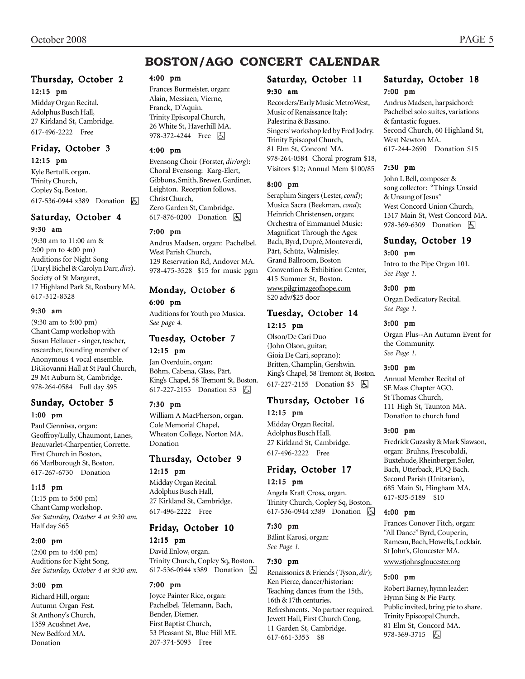# **BOSTON/AGO CONCERT CALENDAR**

#### Thursday, October 2 12:15 pm

Midday Organ Recital. Adolphus Busch Hall, 27 Kirkland St, Cambridge. 617-496-2222 Free

### Friday, October 3

12:15 pm

Kyle Bertulli, organ. Trinity Church, Copley Sq, Boston. 617-536-0944 x389 Donation **A** 

### Saturday, October 4

#### 9:30 am

(9:30 am to 11:00 am & 2:00 pm to 4:00 pm) Auditions for Night Song (Daryl Bichel & Carolyn Darr, *dirs*). Society of St Margaret, 17 Highland Park St, Roxbury MA. 617-312-8328

#### 9:30 am

(9:30 am to 5:00 pm) Chant Camp workshop with Susan Hellauer - singer, teacher, researcher, founding member of Anonymous 4 vocal ensemble. DiGiovanni Hall at St Paul Church, 29 Mt Auburn St, Cambridge. 978-264-0584 Full day \$95

#### Sunday, October 5 1:00 pm

Paul Cienniwa, organ: Geoffroy/Lully, Chaumont, Lanes, Beauvarlet-Charpentier, Corrette. First Church in Boston, 66 Marlborough St, Boston. 617-267-6730 Donation

#### 1:15 pm

(1:15 pm to 5:00 pm) Chant Camp workshop. *See Saturday, October 4 at 9:30 am.* Half day \$65

#### 2:00 pm

(2:00 pm to 4:00 pm) Auditions for Night Song. *See Saturday, October 4 at 9:30 am.*

#### 3:00 pm

Richard Hill, organ: Autumn Organ Fest. St Anthony's Church, 1359 Acushnet Ave, New Bedford MA. Donation

### 4:00 pm

Frances Burmeister, organ: Alain, Messiaen, Vierne, Franck, D'Aquin. Trinity Episcopal Church, 26 White St, Haverhill MA. 978-372-4244 Free 因

#### 4:00 pm

Evensong Choir (Forster, *dir/org*): Choral Evensong: Karg-Elert, Gibbons, Smith, Brewer, Gardiner, Leighton. Reception follows. Christ Church, Zero Garden St, Cambridge. 617-876-0200 Donation **b** 

#### 7:00 pm

Andrus Madsen, organ: Pachelbel. West Parish Church, 129 Reservation Rd, Andover MA. 978-475-3528 \$15 for music pgm

### Monday, October 6 6:00 pm

Auditions for Youth pro Musica. *See page 4.*

#### Tuesday, October 7 12:15 pm

Jan Overduin, organ: Böhm, Cabena, Glass, Pärt. King's Chapel, 58 Tremont St, Boston. 617-227-2155 Donation \$3 **b** 

#### 7:30 pm

William A MacPherson, organ. Cole Memorial Chapel, Wheaton College, Norton MA. Donation

### Thursday, October 9 12:15 pm

Midday Organ Recital. Adolphus Busch Hall, 27 Kirkland St, Cambridge. 617-496-2222 Free

### Friday, October 10

#### 12:15 pm

David Enlow, organ. Trinity Church, Copley Sq, Boston. 617-536-0944 x389 Donation h

#### 7:00 pm

Joyce Painter Rice, organ: Pachelbel, Telemann, Bach, Bender, Diemer. First Baptist Church, 53 Pleasant St, Blue Hill ME. 207-374-5093 Free

# Saturday, October 11

### 9:30 am

Recorders/Early Music MetroWest, Music of Renaissance Italy: Palestrina & Bassano. Singers' workshop led by Fred Jodry. Trinity Episcopal Church, 81 Elm St, Concord MA. 978-264-0584 Choral program \$18, Visitors \$12; Annual Mem \$100/85

#### 8:00 pm

Seraphim Singers (Lester, *cond*); Musica Sacra (Beekman, *cond*); Heinrich Christensen, organ; Orchestra of Emmanuel Music: Magnificat Through the Ages: Bach, Byrd, Dupré, Monteverdi, Pärt, Schütz, Walmisley. Grand Ballroom, Boston Convention & Exhibition Center, 415 Summer St, Boston. www.pilgrimageofhope.com \$20 adv/\$25 door

### Tuesday, October 14 12:15 pm

Olson/De Cari Duo (John Olson, guitar; Gioia De Cari, soprano): Britten, Champlin, Gershwin. King's Chapel, 58 Tremont St, Boston. 617-227-2155 Donation \$3 h

### Thursday, October 16 12:15 pm

Midday Organ Recital. Adolphus Busch Hall, 27 Kirkland St, Cambridge. 617-496-2222 Free

### Friday, October 17 12:15 pm

#### Angela Kraft Cross, organ. Trinity Church, Copley Sq, Boston. 617-536-0944 x389 Donation **b**

#### 7:30 pm

Bálint Karosi, organ: *See Page 1.*

#### 7:30 pm

Renaissonics & Friends (Tyson, *dir*); Ken Pierce, dancer/historian: Teaching dances from the 15th, 16th & 17th centuries. Refreshments. No partner required. Jewett Hall, First Church Cong, 11 Garden St, Cambridge. 617-661-3353 \$8

### Saturday, October 18 7:00 pm

Andrus Madsen, harpsichord: Pachelbel solo suites, variations & fantastic fugues. Second Church, 60 Highland St, West Newton MA. 617-244-2690 Donation \$15

#### 7:30 pm

John L Bell, composer & song collector: "Things Unsaid & Unsung of Jesus" West Concord Union Church, 1317 Main St, West Concord MA. 978-369-6309 Donation **b** 

#### Sunday, October 19 3:00 pm

Intro to the Pipe Organ 101. *See Page 1.*

#### 3:00 pm

Organ Dedicatory Recital. *See Page 1.*

#### 3:00 pm

Organ Plus--An Autumn Event for the Community. *See Page 1.*

#### 3:00 pm

Annual Member Recital of SE Mass Chapter AGO. St Thomas Church, 111 High St, Taunton MA. Donation to church fund

#### 3:00 pm

Fredrick Guzasky & Mark Slawson, organ: Bruhns, Frescobaldi, Buxtehude, Rheinberger, Soler, Bach, Utterback, PDQ Bach. Second Parish (Unitarian), 685 Main St, Hingham MA. 617-835-5189 \$10

#### 4:00 pm

Frances Conover Fitch, organ: "All Dance" Byrd, Couperin, Rameau, Bach, Howells, Locklair. St John's, Gloucester MA. www.stjohnsgloucester.org

#### 5:00 pm

Robert Barney, hymn leader: Hymn Sing & Pie Party. Public invited, bring pie to share. Trinity Episcopal Church, 81 Elm St, Concord MA. 978-369-3715 因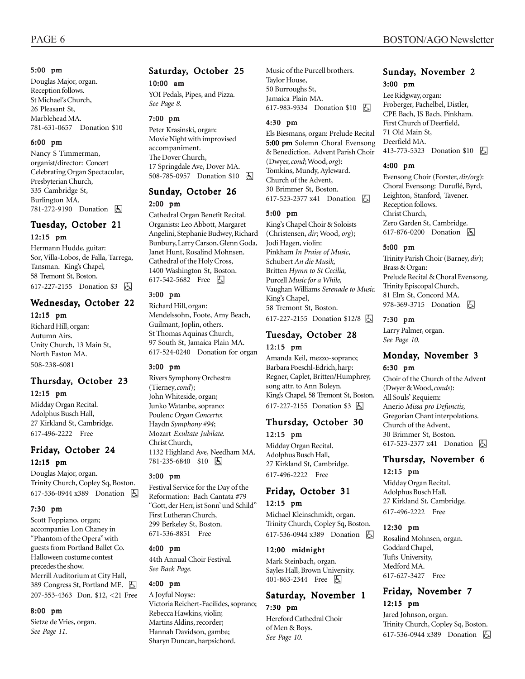#### 5:00 pm

Douglas Major, organ. Reception follows. St Michael's Church, 26 Pleasant St, Marblehead MA. 781-631-0657 Donation \$10

#### 6:00 pm

Nancy S Timmerman, organist/director: Concert Celebrating Organ Spectacular, Presbyterian Church, 335 Cambridge St, Burlington MA. 781-272-9190 Donation **b** 

### Tuesday, October 21 12:15 pm

Hermann Hudde, guitar: Sor, Villa-Lobos, de Falla, Tarrega, Tansman. King's Chapel, 58 Tremont St, Boston. 617-227-2155 Donation \$3 | A

### Wednesday, October 22

#### 12:15 pm

Richard Hill, organ: Autumn Airs. Unity Church, 13 Main St, North Easton MA. 508-238-6081

# Thursday, October 23

#### 12:15 pm

Midday Organ Recital. Adolphus Busch Hall, 27 Kirkland St, Cambridge. 617-496-2222 Free

### Friday, October 24 12:15 pm

Douglas Major, organ. Trinity Church, Copley Sq, Boston. 617-536-0944 x389 Donation **b** 

#### 7:30 pm

Scott Foppiano, organ; accompanies Lon Chaney in "Phantom of the Opera" with guests from Portland Ballet Co. Halloween costume contest precedes the show. Merrill Auditorium at City Hall, 389 Congress St, Portland ME. [5] 207-553-4363 Don. \$12, <21 Free

#### 8:00 pm

Sietze de Vries, organ. *See Page 11.*

### Saturday, October 25 10:00 am

YOI Pedals, Pipes, and Pizza. *See Page 8.*

#### 7:00 pm

Peter Krasinski, organ: Movie Night with improvised accompaniment. The Dover Church, 17 Springdale Ave, Dover MA. 508-785-0957 Donation \$10 | A

#### Sunday, October 26 2:00 pm

Cathedral Organ Benefit Recital. Organists: Leo Abbott, Margaret Angelini, Stephanie Budwey, Richard Bunbury, Larry Carson, Glenn Goda, Janet Hunt, Rosalind Mohnsen. Cathedral of the Holy Cross, 1400 Washington St, Boston. 617-542-5682 Free 因

#### 3:00 pm

Richard Hill, organ: Mendelssohn, Foote, Amy Beach, Guilmant, Joplin, others. St Thomas Aquinas Church, 97 South St, Jamaica Plain MA. 617-524-0240 Donation for organ

#### 3:00 pm

Rivers Symphony Orchestra (Tierney, *cond*); John Whiteside, organ; Junko Watanbe, soprano: Poulenc *Organ Concerto*; Haydn *Symphony #94*; Mozart *Exultate Jubilate.* Christ Church, 1132 Highland Ave, Needham MA. 781-235-6840 \$10 | 5

#### 3:00 pm

Festival Service for the Day of the Reformation: Bach Cantata #79 "Gott, der Herr, ist Sonn' und Schild" First Lutheran Church, 299 Berkeley St, Boston. 671-536-8851 Free

#### 4:00 pm

44th Annual Choir Festival. *See Back Page.*

#### 4:00 pm

A Joyful Noyse: Victoria Reichert-Facilides, soprano; Rebecca Hawkins, violin; Martins Aldins, recorder; Hannah Davidson, gamba; Sharyn Duncan, harpsichord.

Music of the Purcell brothers. Taylor House, 50 Burroughs St, Jamaica Plain MA. 617-983-9334 Donation \$10 **b** 

#### 4:30 pm

Els Biesmans, organ: Prelude Recital 5:00 pm Solemn Choral Evensong & Benediction. Advent Parish Choir (Dwyer, *cond*; Wood, *org*): Tomkins, Mundy, Ayleward. Church of the Advent, 30 Brimmer St, Boston. 617-523-2377 x41 Donation **b** 

#### 5:00 pm

King's Chapel Choir & Soloists (Christensen, *dir*; Wood, *org*); Jodi Hagen, violin: Pinkham *In Praise of Music*, Schubert *An die Musik,* Britten *Hymn to St Cecilia,* Purcell *Music for a While,* Vaughan Williams *Serenade to Music.* King's Chapel, 58 Tremont St, Boston. 617-227-2155 Donation \$12/8 因

#### Tuesday, October 28 12:15 pm

Amanda Keil, mezzo-soprano; Barbara Poeschl-Edrich, harp: Regner, Caplet, Britten/Humphrey, song attr. to Ann Boleyn. King's Chapel, 58 Tremont St, Boston. 617-227-2155 Donation \$3 因

#### Thursday, October 30 12:15 pm

Midday Organ Recital. Adolphus Busch Hall, 27 Kirkland St, Cambridge. 617-496-2222 Free

#### Friday, October 31

#### 12:15 pm

Michael Kleinschmidt, organ. Trinity Church, Copley Sq, Boston. 617-536-0944 x389 Donation **b** 

#### 12:00 midnight

Mark Steinbach, organ. Sayles Hall, Brown University. 401-863-2344 Free 因

#### Saturday, November 1 7:30 pm

Hereford Cathedral Choir of Men & Boys. *See Page 10.*

#### Sunday, November 2 3:00 pm

Lee Ridgway, organ: Froberger, Pachelbel, Distler, CPE Bach, JS Bach, Pinkham. First Church of Deerfield, 71 Old Main St, Deerfield MA. 413-773-5323 Donation \$10 **b** 

#### 4:00 pm

Evensong Choir (Forster, *dir/org*): Choral Evensong: Duruflé, Byrd, Leighton, Stanford, Tavener. Reception follows. Christ Church, Zero Garden St, Cambridge. 617-876-0200 Donation **A** 

#### 5:00 pm

Trinity Parish Choir (Barney, *dir*); Brass & Organ: Prelude Recital & Choral Evensong. Trinity Episcopal Church, 81 Elm St, Concord MA. 978-369-3715 Donation **b** 

#### 7:30 pm

Larry Palmer, organ. *See Page 10.*

#### Monday, November 3 6:30 pm

Choir of the Church of the Advent (Dwyer & Wood, *conds*): All Souls' Requiem: Anerio *Missa pro Defunctis,* Gregorian Chant interpolations. Church of the Advent, 30 Brimmer St, Boston. 617-523-2377 x41 Donation **A** 

### Thursday, November 6

### 12:15 pm

Midday Organ Recital. Adolphus Busch Hall, 27 Kirkland St, Cambridge. 617-496-2222 Free

#### 12:30 pm

Rosalind Mohnsen, organ. Goddard Chapel, Tufts University, Medford MA. 617-627-3427 Free

### Friday, November 7 12:15 pm

Jared Johnson, organ. Trinity Church, Copley Sq, Boston. 617-536-0944 x389 Donation h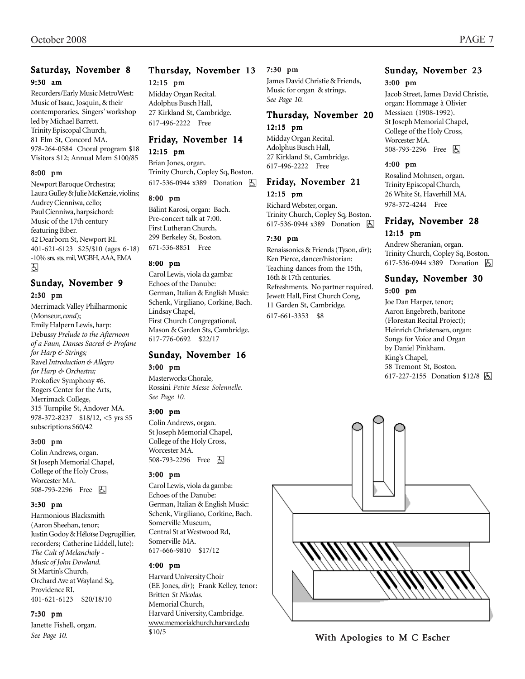### Saturday, November 8 9:30 am

Recorders/Early Music MetroWest: Music of Isaac, Josquin, & their contemporaries. Singers' workshop led by Michael Barrett. Trinity Episcopal Church, 81 Elm St, Concord MA. 978-264-0584 Choral program \$18 Visitors \$12; Annual Mem \$100/85

#### 8:00 pm

Newport Baroque Orchestra; Laura Gulley & Julie McKenzie, violins; Audrey Cienniwa, cello; Paul Cienniwa, harpsichord: Music of the 17th century featuring Biber. 42 Dearborn St, Newport RI. 401-621-6123 \$25/\$10 (ages 6-18) -10% srs, sts, mil, WGBH, AAA, EMA h

#### Sunday, November 9 2:30 pm

Merrimack Valley Philharmonic (Monseur, *cond*); Emily Halpern Lewis, harp: Debussy *Prelude to the Afternoon of a Faun, Danses Sacred & Profane for Harp & Strings;* Ravel *Introduction & Allegro for Harp & Orchestra;* Prokofiev Symphony #6. Rogers Center for the Arts, Merrimack College, 315 Turnpike St, Andover MA. 978-372-8237 \$18/12, <5 yrs \$5 subscriptions \$60/42

#### 3:00 pm

Colin Andrews, organ. St Joseph Memorial Chapel, College of the Holy Cross, Worcester MA. 508-793-2296 Free **A** 

#### 3:30 pm

Harmonious Blacksmith (Aaron Sheehan, tenor; Justin Godoy & Héloïse Degrugillier, recorders; Catherine Liddell, lute): *The Cult of Melancholy - Music of John Dowland.* St Martin's Church, Orchard Ave at Wayland Sq, Providence RI. 401-621-6123 \$20/18/10

#### 7:30 pm

Janette Fishell, organ. *See Page 10.*

### Thursday, November 13 12:15 pm

Midday Organ Recital. Adolphus Busch Hall, 27 Kirkland St, Cambridge. 617-496-2222 Free

### Friday, November 14 12:15 pm

Brian Jones, organ. Trinity Church, Copley Sq, Boston.

617-536-0944 x389 Donation **b** 

### 8:00 pm

Bálint Karosi, organ: Bach. Pre-concert talk at 7:00. First Lutheran Church, 299 Berkeley St, Boston. 671-536-8851 Free

#### 8:00 pm

Carol Lewis, viola da gamba: Echoes of the Danube: German, Italian & English Music: Schenk, Virgiliano, Corkine, Bach. Lindsay Chapel, First Church Congregational, Mason & Garden Sts, Cambridge. 617-776-0692 \$22/17

#### Sunday, November 16 3:00 pm

Masterworks Chorale, Rossini *Petite Messe Solennelle. See Page 10.*

#### 3:00 pm

Colin Andrews, organ. St Joseph Memorial Chapel, College of the Holy Cross, Worcester MA. 508-793-2296 Free 因

#### 3:00 pm

Carol Lewis, viola da gamba: Echoes of the Danube: German, Italian & English Music: Schenk, Virgiliano, Corkine, Bach. Somerville Museum, Central St at Westwood Rd, Somerville MA. 617-666-9810 \$17/12

#### 4:00 pm

Harvard University Choir (EE Jones, *dir*); Frank Kelley, tenor: Britten *St Nicolas.* Memorial Church, Harvard University, Cambridge. www.memorialchurch.harvard.edu \$10/5

#### 7:30 pm

James David Christie & Friends, Music for organ & strings. *See Page 10.*

### Thursday, November 20 12:15 pm

Midday Organ Recital. Adolphus Busch Hall, 27 Kirkland St, Cambridge. 617-496-2222 Free

#### Friday, November 21 12:15 pm

Richard Webster, organ. Trinity Church, Copley Sq, Boston. 617-536-0944 x389 Donation **b** 

#### 7:30 pm

Renaissonics & Friends (Tyson, *dir*); Ken Pierce, dancer/historian: Teaching dances from the 15th, 16th & 17th centuries. Refreshments. No partner required. Jewett Hall, First Church Cong, 11 Garden St, Cambridge. 617-661-3353 \$8

# Sunday, November 23

3:00 pm

Jacob Street, James David Christie, organ: Hommage à Olivier Messiaen (1908-1992). St Joseph Memorial Chapel, College of the Holy Cross, Worcester MA. 508-793-2296 Free 因

#### 4:00 pm

Rosalind Mohnsen, organ. Trinity Episcopal Church, 26 White St, Haverhill MA. 978-372-4244 Free

#### Friday, November 28 12:15 pm

Andrew Sheranian, organ. Trinity Church, Copley Sq, Boston. 617-536-0944 x389 Donation **囚** 

### Sunday, November 30

#### 5:00 pm

Joe Dan Harper, tenor; Aaron Engebreth, baritone (Florestan Recital Project); Heinrich Christensen, organ: Songs for Voice and Organ by Daniel Pinkham. King's Chapel, 58 Tremont St, Boston. 617-227-2155 Donation \$12/8 因



With Apologies to M C Escher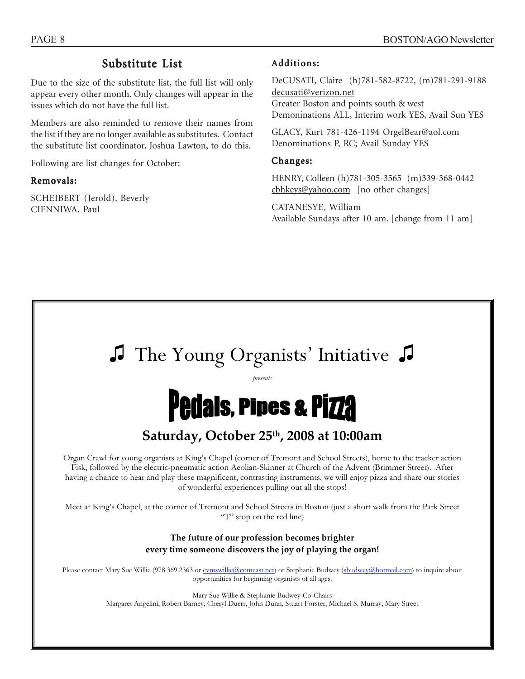### Substitute List

Due to the size of the substitute list, the full list will only appear every other month. Only changes will appear in the issues which do not have the full list.

Members are also reminded to remove their names from the list if they are no longer available as substitutes. Contact the substitute list coordinator, Joshua Lawton, to do this.

Following are list changes for October:

#### Removals:

SCHEIBERT (Jerold), Beverly CIENNIWA, Paul

#### Additions:

DeCUSATI, Claire (h)781-582-8722, (m)781-291-9188 decusati@verizon.net Greater Boston and points south & west Demoninations ALL, Interim work YES, Avail Sun YES

GLACY, Kurt 781-426-1194 OrgelBear@aol.com Denominations P, RC; Avail Sunday YES

#### Changes:

HENRY, Colleen (h)781-305-3565 (m)339-368-0442 cbhkeys@yahoo.com [no other changes]

CATANESYE, William Available Sundays after 10 am. [change from 11 am]

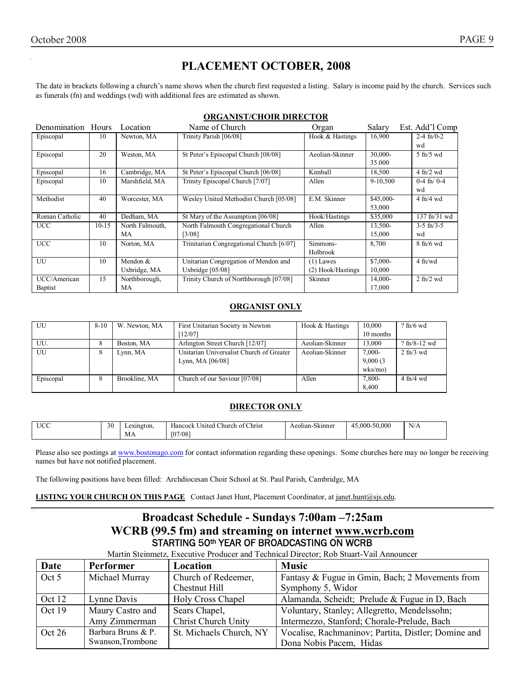# **PLACEMENT OCTOBER, 2008**

The date in brackets following a church's name shows when the church first requested a listing. Salary is income paid by the church. Services such as funerals (fn) and weddings (wd) with additional fees are estimated as shown.

| Denomination Hours |           | Location        | Name of Church                           | Organ             | Salary    | Est. Add'l Comp                  |
|--------------------|-----------|-----------------|------------------------------------------|-------------------|-----------|----------------------------------|
| Episcopal          | 10        | Newton, MA      | Trinity Parish [06/08]                   | Hook & Hastings   | 16,900    | $2-4$ fn/0-2                     |
|                    |           |                 |                                          |                   |           | wd                               |
| Episcopal          | 20        | Weston, MA      | St Peter's Episcopal Church [08/08]      | Aeolian-Skinner   | 30,000-   | $5$ fn/ $5$ wd                   |
|                    |           |                 |                                          |                   | 35.000    |                                  |
| Episcopal          | 16        | Cambridge, MA   | St Peter's Episcopal Church [06/08]      | Kimball           | 18,500    | $4$ fn/2 wd                      |
| Episcopal          | 10        | Marshfield, MA  | Trinity Episcopal Church [7/07]          | Allen             | 9-10,500  | $0-4$ fn/ $0-4$                  |
|                    |           |                 |                                          |                   |           | wd                               |
| Methodist          | 40        | Worcester, MA   | Wesley United Methodist Church [05/08]   | E.M. Skinner      | \$45,000- | $4$ fn/ $4$ wd                   |
|                    |           |                 |                                          |                   | 53,000    |                                  |
| Roman Catholic     | 40        | Dedham, MA      | St Mary of the Assumption [06/08]        | Hook/Hastings     | \$35,000  | $137 \text{ ft} / 31 \text{ wd}$ |
| <b>UCC</b>         | $10 - 15$ | North Falmouth, | North Falmouth Congregational Church     | Allen             | 13,500-   | $3-5$ fn/ $3-5$                  |
|                    |           | MA              | $[3/08]$                                 |                   | 15,000    | wd                               |
| <b>UCC</b>         | 10        | Norton, MA      | Trinitarian Congregational Church [6/07] | Simmons-          | 8,700     | $8$ fn/6 wd                      |
|                    |           |                 |                                          | Holbrook          |           |                                  |
| UU                 | 10        | Mendon $&$      | Unitarian Congregation of Mendon and     | $(1)$ Lawes       | \$7,000-  | $4$ fn/wd                        |
|                    |           | Uxbridge, MA    | Uxbridge $[05/08]$                       | (2) Hook/Hastings | 10,000    |                                  |
| UCC/American       | 15        | Northborough,   | Trinity Church of Northborough [07/08]   | Skinner           | 14,000-   | $2$ fn/ $2$ wd                   |
| <b>Baptist</b>     |           | MA              |                                          |                   | 17,000    |                                  |

#### **ORGANIST/CHOIR DIRECTOR**

### **ORGANIST ONLY**

| UU        | $8 - 10$ | W. Newton, MA | First Unitarian Society in Newton        | Hook & Hastings | 10,000        | $?$ fn/6 wd                     |
|-----------|----------|---------------|------------------------------------------|-----------------|---------------|---------------------------------|
|           |          |               | [12/07]                                  |                 | 10 months     |                                 |
| UU.       | 8        | Boston, MA    | Arlington Street Church [12/07]          | Aeolian-Skinner | 13,000        | $?$ fn/8-12 wd                  |
| UU        | 8        | Lynn, MA      | Unitarian Universalist Church of Greater | Aeolian-Skinner | $7,000-$      | $2 \text{ ft}$ / $3 \text{ wd}$ |
|           |          |               | Lynn, MA $[06/08]$                       |                 | 9,000(3)      |                                 |
|           |          |               |                                          |                 | $w$ ks/mo $)$ |                                 |
| Episcopal | 8        | Brookline, MA | Church of our Saviour [07/08]            | Allen           | 7,800-        | $4$ fn/ $4$ wd                  |
|           |          |               |                                          |                 | 8,400         |                                 |

#### **DIRECTOR ONLY**

| <b>UCC</b> | 30 | Lexington. | $\sim$ $\sim$ $\sim$<br>: United Church of Christ<br>Hancock | $\sim$ $\sim$<br>Aeolian-Skinner | $.000 - 50.000$<br>4 | N/A |
|------------|----|------------|--------------------------------------------------------------|----------------------------------|----------------------|-----|
|            |    | МA         | 07/081                                                       |                                  |                      |     |

Please also see postings at www.bostonago.com for contact information regarding these openings. Some churches here may no longer be receiving names but have not notified placement.

The following positions have been filled: Archdiocesan Choir School at St. Paul Parish, Cambridge, MA

**LISTING YOUR CHURCH ON THIS PAGE** Contact Janet Hunt, Placement Coordinator, at janet.hunt@sjs.edu.

### **Broadcast Schedule - Sundays 7:00am –7:25am WCRB (99.5 fm) and streaming on internet www.wcrb.com** STARTING 50<sup>th</sup> YEAR OF BROADCASTING ON WCRB

Martin Steinmetz, Executive Producer and Technical Director; Rob Stuart-Vail Announcer

| Date     | Performer          | Location                   | <b>Music</b>                                        |
|----------|--------------------|----------------------------|-----------------------------------------------------|
| Oct 5    | Michael Murray     | Church of Redeemer,        | Fantasy & Fugue in Gmin, Bach; 2 Movements from     |
|          |                    | Chestnut Hill              | Symphony 5, Widor                                   |
| Oct 12   | Lynne Davis        | Holy Cross Chapel          | Alamanda, Scheidt; Prelude & Fugue in D, Bach       |
| Oct 19   | Maury Castro and   | Sears Chapel,              | Voluntary, Stanley; Allegretto, Mendelssohn;        |
|          | Amy Zimmerman      | <b>Christ Church Unity</b> | Intermezzo, Stanford; Chorale-Prelude, Bach         |
| Oct $26$ | Barbara Bruns & P. | St. Michaels Church, NY    | Vocalise, Rachmaninov; Partita, Distler; Domine and |
|          | Swanson, Trombone  |                            | Dona Nobis Pacem, Hidas                             |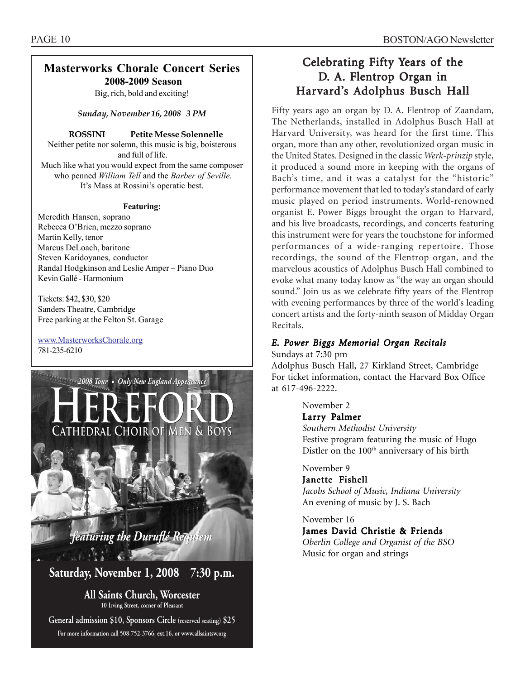### **Masterworks Chorale Concert Series 2008-2009 Season**

Big, rich, bold and exciting!

*Sunday, November 16, 2008 3 PM*

#### **ROSSINI Petite Messe Solennelle**

Neither petite nor solemn, this music is big, boisterous and full of life. Much like what you would expect from the same composer who penned *William Tell* and the *Barber of Seville*. It's Mass at Rossini's operatic best.

#### **Featuring:**

Meredith Hansen, soprano Rebecca O'Brien, mezzo soprano Martin Kelly, tenor Marcus DeLoach, baritone Steven Karidoyanes, conductor Randal Hodgkinson and Leslie Amper – Piano Duo Kevin Gallé - Harmonium

Tickets: \$42, \$30, \$20 Sanders Theatre, Cambridge Free parking at the Felton St. Garage

www.MasterworksChorale.org 781-235-6210



**Saturday, November 1, 2008 Saturday, November 1, 2008 7:30 p.m.**

**7:30 P.M. All Saints Church, Worcester 10 Irving Street, corner of Pleasant**

**General admission \$10, Sponsors Circle (reserved seating) \$25 For more information call 508-752-3766, ext.16, or www.allsaintsw.org**

# Celebrating Fifty Years of the D. A. Flentrop Organ in Harvard's Adolphus Busch Hall

Fifty years ago an organ by D. A. Flentrop of Zaandam, The Netherlands, installed in Adolphus Busch Hall at Harvard University, was heard for the first time. This organ, more than any other, revolutionized organ music in the United States. Designed in the classic *Werk-prinzip* style, it produced a sound more in keeping with the organs of Bach's time, and it was a catalyst for the "historic" performance movement that led to today's standard of early music played on period instruments. World-renowned organist E. Power Biggs brought the organ to Harvard, and his live broadcasts, recordings, and concerts featuring this instrument were for years the touchstone for informed performances of a wide-ranging repertoire. Those recordings, the sound of the Flentrop organ, and the marvelous acoustics of Adolphus Busch Hall combined to evoke what many today know as "the way an organ should sound." Join us as we celebrate fifty years of the Flentrop with evening performances by three of the world's leading concert artists and the forty-ninth season of Midday Organ Recitals.

### *E. Power Biggs Memorial Organ Recitals*

Sundays at 7:30 pm

Adolphus Busch Hall, 27 Kirkland Street, Cambridge For ticket information, contact the Harvard Box Office at 617-496-2222.

November 2

#### Larry Palmer

*Southern Methodist University* Festive program featuring the music of Hugo Distler on the 100<sup>th</sup> anniversary of his birth

November 9

Janette Fishell

*Jacobs School of Music, Indiana University* An evening of music by J. S. Bach

November 16 James David Christie & Friends *Oberlin College and Organist of the BSO* Music for organ and strings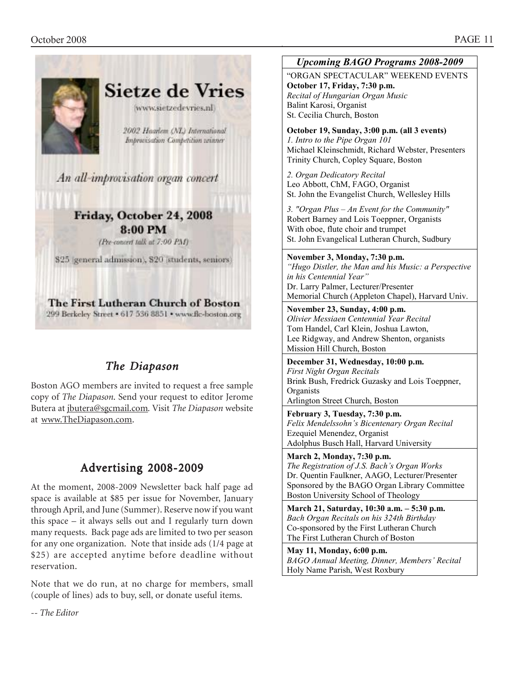

# *The Diapason*

Boston AGO members are invited to request a free sample copy of *The Diapason*. Send your request to editor Jerome Butera at jbutera@sgcmail.com*.* Visit *The Diapason* website at www.TheDiapason.com.

# Advertising 2008-2009

At the moment, 2008-2009 Newsletter back half page ad space is available at \$85 per issue for November, January through April, and June (Summer). Reserve now if you want this space – it always sells out and I regularly turn down many requests. Back page ads are limited to two per season for any one organization. Note that inside ads (1/4 page at \$25) are accepted anytime before deadline without reservation.

Note that we do run, at no charge for members, small (couple of lines) ads to buy, sell, or donate useful items.

*Upcoming BAGO Programs 2008-2009*

"ORGAN SPECTACULAR" WEEKEND EVENTS **October 17, Friday, 7:30 p.m.**  *Recital of Hungarian Organ Music*  Balint Karosi, Organist St. Cecilia Church, Boston

**October 19, Sunday, 3:00 p.m. (all 3 events)**  *1. Intro to the Pipe Organ 101*  Michael Kleinschmidt, Richard Webster, Presenters Trinity Church, Copley Square, Boston

*2. Organ Dedicatory Recital*  Leo Abbott, ChM, FAGO, Organist St. John the Evangelist Church, Wellesley Hills

*3. "Organ Plus – An Event for the Community"*  Robert Barney and Lois Toeppner, Organists With oboe, flute choir and trumpet St. John Evangelical Lutheran Church, Sudbury

**November 3, Monday, 7:30 p.m.**  *"Hugo Distler, the Man and his Music: a Perspective in his Centennial Year"*  Dr. Larry Palmer, Lecturer/Presenter Memorial Church (Appleton Chapel), Harvard Univ.

**November 23, Sunday, 4:00 p.m.**  *Olivier Messiaen Centennial Year Recital*  Tom Handel, Carl Klein, Joshua Lawton, Lee Ridgway, and Andrew Shenton, organists Mission Hill Church, Boston

**December 31, Wednesday, 10:00 p.m.**  *First Night Organ Recitals*  Brink Bush, Fredrick Guzasky and Lois Toeppner, **Organists** 

Arlington Street Church, Boston

**February 3, Tuesday, 7:30 p.m.**  *Felix Mendelssohn's Bicentenary Organ Recital*  Ezequiel Menendez, Organist Adolphus Busch Hall, Harvard University

**March 2, Monday, 7:30 p.m.**  *The Registration of J.S. Bach's Organ Works*  Dr. Quentin Faulkner, AAGO, Lecturer/Presenter Sponsored by the BAGO Organ Library Committee Boston University School of Theology

**March 21, Saturday, 10:30 a.m. – 5:30 p.m.**  *Bach Organ Recitals on his 324th Birthday*  Co-sponsored by the First Lutheran Church The First Lutheran Church of Boston

**May 11, Monday, 6:00 p.m.**  *BAGO Annual Meeting, Dinner, Members' Recital*  Holy Name Parish, West Roxbury

*-- The Editor*